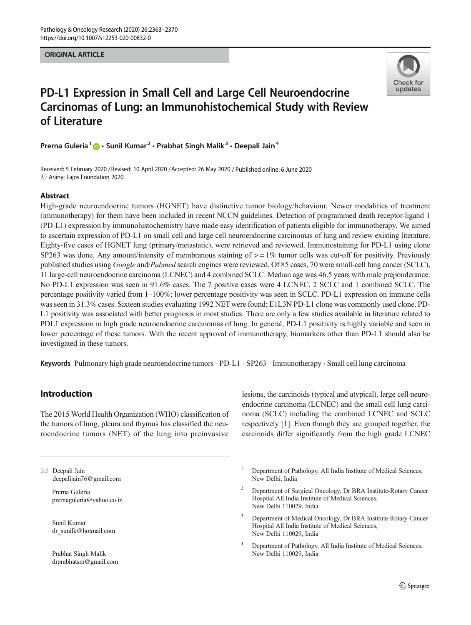#### **ORIGINAL ARTICLE** ORIGINAL ARTICLE



# PD-L1 Expression in Small Cell and Large Cell Neuroendocrine Carcinomas of Lung: an Immunohistochemical Study with Review of Literature

Prerna Guleria<sup>1</sup>  $\cdot$  Sunil Kumar<sup>2</sup> · Prabhat Singh Malik<sup>3</sup> · Deepali Jain<sup>4</sup>

Received: 5 February 2020 / Revised: 10 April 2020 /Accepted: 26 May 2020 / Published online: 6 June 2020  $\odot$  Arányi Lajos Foundation 2020

### Abstract

High-grade neuroendocrine tumors (HGNET) have distinctive tumor biology/behaviour. Newer modalities of treatment (immunotherapy) for them have been included in recent NCCN guidelines. Detection of programmed death receptor-ligand 1 (PD-L1) expression by immunohistochemistry have made easy identification of patients eligible for immunotherapy. We aimed to ascertain expression of PD-L1 on small cell and large cell neuroendocrine carcinomas of lung and review existing literature. Eighty-five cases of HGNET lung (primary/metastatic), were retrieved and reviewed. Immunostaining for PD-L1 using clone SP263 was done. Any amount/intensity of membranous staining of  $> = 1\%$  tumor cells was cut-off for positivity. Previously published studies using Google and/Pubmed search engines were reviewed. Of 85 cases, 70 were small-cell lung cancer (SCLC), 11 large-cell neuroendocrine carcinoma (LCNEC) and 4 combined SCLC. Median age was 46.5 years with male preponderance. No PD-L1 expression was seen in 91.6% cases. The 7 positive cases were 4 LCNEC, 2 SCLC and 1 combined SCLC. The percentage positivity varied from 1–100%; lower percentage positivity was seen in SCLC. PD-L1 expression on immune cells was seen in 31.3% cases. Sixteen studies evaluating 1992 NET were found; E1L3N PD-L1 clone was commonly used clone. PD-L1 positivity was associated with better prognosis in most studies. There are only a few studies available in literature related to PDL1 expression in high grade neuroendocrine carcinomas of lung. In general, PD-L1 positivity is highly variable and seen in lower percentage of these tumors. With the recent approval of immunotherapy, biomarkers other than PD-L1 should also be investigated in these tumors.

Keywords Pulmonary high grade neuroendocrine tumors · PD-L1 · SP263 · Immunotherapy · Small cell lung carcinoma

## Introduction

The 2015 World Health Organization (WHO) classification of the tumors of lung, pleura and thymus has classified the neuroendocrine tumors (NET) of the lung into preinvasive

 $\boxtimes$  Deepali Jain [deepalijain76@gmail.com](mailto:deepalijain76@gmail.com)

> Prerna Guleria prernaguleria@yahoo.co.in

Sunil Kumar dr\_sunilk@hotmail.com

Prabhat Singh Malik drprabhatsm@gmail.com lesions, the carcinoids (typical and atypical), large cell neuroendocrine carcinoma (LCNEC) and the small cell lung carcinoma (SCLC) including the combined LCNEC and SCLC respectively [[1\]](#page-6-0). Even though they are grouped together, the carcinoids differ significantly from the high grade LCNEC

- <sup>1</sup> Department of Pathology, All India Institute of Medical Sciences, New Delhi, India
- <sup>2</sup> Department of Surgical Oncology, Dr BRA Institute-Rotary Cancer Hospital All India Institute of Medical Sciences, New Delhi 110029, India
- <sup>3</sup> Department of Medical Oncology, Dr BRA Institute-Rotary Cancer Hospital All India Institute of Medical Sciences, New Delhi 110029, India
- Department of Pathology, All India Institute of Medical Sciences, New Delhi 110029, India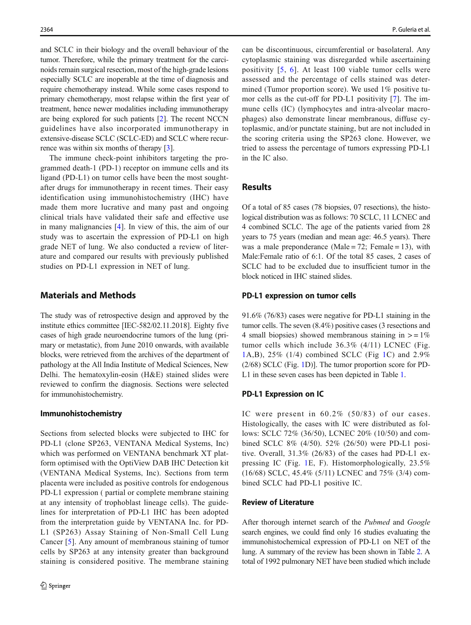and SCLC in their biology and the overall behaviour of the tumor. Therefore, while the primary treatment for the carcinoids remain surgical resection, most of the high-grade lesions especially SCLC are inoperable at the time of diagnosis and require chemotherapy instead. While some cases respond to primary chemotherapy, most relapse within the first year of treatment, hence newer modalities including immunotherapy are being explored for such patients [[2\]](#page-6-0). The recent NCCN guidelines have also incorporated immunotherapy in extensive-disease SCLC (SCLC-ED) and SCLC where recurrence was within six months of therapy [\[3](#page-6-0)].

The immune check-point inhibitors targeting the programmed death-1 (PD-1) receptor on immune cells and its ligand (PD-L1) on tumor cells have been the most soughtafter drugs for immunotherapy in recent times. Their easy identification using immunohistochemistry (IHC) have made them more lucrative and many past and ongoing clinical trials have validated their safe and effective use in many malignancies [[4](#page-6-0)]. In view of this, the aim of our study was to ascertain the expression of PD-L1 on high grade NET of lung. We also conducted a review of literature and compared our results with previously published studies on PD-L1 expression in NET of lung.

## Materials and Methods

The study was of retrospective design and approved by the institute ethics committee [IEC-582/02.11.2018]. Eighty five cases of high grade neuroendocrine tumors of the lung (primary or metastatic), from June 2010 onwards, with available blocks, were retrieved from the archives of the department of pathology at the All India Institute of Medical Sciences, New Delhi. The hematoxylin-eosin (H&E) stained slides were reviewed to confirm the diagnosis. Sections were selected for immunohistochemistry.

#### Immunohistochemistry

Sections from selected blocks were subjected to IHC for PD-L1 (clone SP263, VENTANA Medical Systems, Inc) which was performed on VENTANA benchmark XT platform optimised with the OptiView DAB IHC Detection kit (VENTANA Medical Systems, Inc). Sections from term placenta were included as positive controls for endogenous PD-L1 expression ( partial or complete membrane staining at any intensity of trophoblast lineage cells). The guidelines for interpretation of PD-L1 IHC has been adopted from the interpretation guide by VENTANA Inc. for PD-L1 (SP263) Assay Staining of Non-Small Cell Lung Cancer [[5\]](#page-6-0). Any amount of membranous staining of tumor cells by SP263 at any intensity greater than background staining is considered positive. The membrane staining can be discontinuous, circumferential or basolateral. Any cytoplasmic staining was disregarded while ascertaining positivity [[5,](#page-6-0) [6\]](#page-6-0). At least 100 viable tumor cells were assessed and the percentage of cells stained was determined (Tumor proportion score). We used 1% positive tumor cells as the cut-off for PD-L1 positivity [[7](#page-6-0)]. The immune cells (IC) (lymphocytes and intra-alveolar macrophages) also demonstrate linear membranous, diffuse cytoplasmic, and/or punctate staining, but are not included in the scoring criteria using the SP263 clone. However, we tried to assess the percentage of tumors expressing PD-L1 in the IC also.

## **Results**

Of a total of 85 cases (78 biopsies, 07 resections), the histological distribution was as follows: 70 SCLC, 11 LCNEC and 4 combined SCLC. The age of the patients varied from 28 years to 75 years (median and mean age: 46.5 years). There was a male preponderance (Male =  $72$ ; Female = 13), with Male:Female ratio of 6:1. Of the total 85 cases, 2 cases of SCLC had to be excluded due to insufficient tumor in the block noticed in IHC stained slides.

#### PD-L1 expression on tumor cells

91.6% (76/83) cases were negative for PD-L1 staining in the tumor cells. The seven (8.4%) positive cases (3 resections and 4 small biopsies) showed membranous staining in  $> = 1\%$ tumor cells which include 36.3% (4/11) LCNEC (Fig. [1](#page-2-0)A,B), 25% (1/4) combined SCLC (Fig [1C](#page-2-0)) and 2.9% (2/68) SCLC (Fig. [1D](#page-2-0))]. The tumor proportion score for PD-L1 in these seven cases has been depicted in Table [1](#page-2-0).

#### PD-L1 Expression on IC

IC were present in 60.2% (50/83) of our cases. Histologically, the cases with IC were distributed as follows: SCLC 72% (36/50), LCNEC 20% (10/50) and combined SCLC 8% (4/50). 52% (26/50) were PD-L1 positive. Overall, 31.3% (26/83) of the cases had PD-L1 expressing IC (Fig. [1](#page-2-0)E, F). Histomorphologically, 23.5% (16/68) SCLC, 45.4% (5/11) LCNEC and 75% (3/4) combined SCLC had PD-L1 positive IC.

#### Review of Literature

After thorough internet search of the Pubmed and Google search engines, we could find only 16 studies evaluating the immunohistochemical expression of PD-L1 on NET of the lung. A summary of the review has been shown in Table [2.](#page-3-0) A total of 1992 pulmonary NET have been studied which include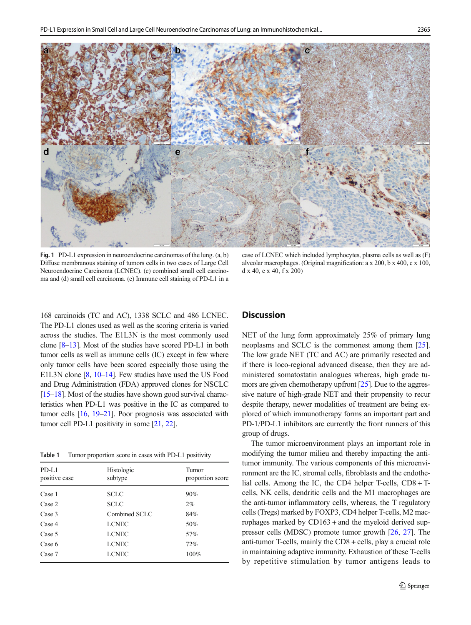<span id="page-2-0"></span>

Fig. 1 PD-L1 expression in neuroendocrine carcinomas of the lung. (a, b) Diffuse membranous staining of tumors cells in two cases of Large Cell Neuroendocrine Carcinoma (LCNEC). (c) combined small cell carcinoma and (d) small cell carcinoma. (e) Immune cell staining of PD-L1 in a

168 carcinoids (TC and AC), 1338 SCLC and 486 LCNEC. The PD-L1 clones used as well as the scoring criteria is varied across the studies. The E1L3N is the most commonly used clone [[8](#page-6-0)–[13\]](#page-6-0). Most of the studies have scored PD-L1 in both tumor cells as well as immune cells (IC) except in few where only tumor cells have been scored especially those using the E1L3N clone [\[8](#page-6-0), [10](#page-6-0)–[14](#page-6-0)]. Few studies have used the US Food and Drug Administration (FDA) approved clones for NSCLC [\[15](#page-6-0)–[18](#page-6-0)]. Most of the studies have shown good survival characteristics when PD-L1 was positive in the IC as compared to tumor cells [\[16,](#page-6-0) [19](#page-6-0)–[21](#page-6-0)]. Poor prognosis was associated with tumor cell PD-L1 positivity in some [\[21](#page-6-0), [22\]](#page-6-0).

Table 1 Tumor proportion score in cases with PD-L1 positivity

| PD-L1<br>positive case | Histologic<br>subtype | Tumor<br>proportion score |
|------------------------|-----------------------|---------------------------|
| Case 1                 | <b>SCLC</b>           | 90%                       |
| Case 2                 | <b>SCLC</b>           | 2%                        |
| Case 3                 | Combined SCLC         | 84%                       |
| Case 4                 | <b>LCNEC</b>          | 50%                       |
| Case 5                 | <b>LCNEC</b>          | 57%                       |
| Case 6                 | <b>LCNEC</b>          | 72%                       |
| Case 7                 | <b>LCNEC</b>          | 100%                      |

case of LCNEC which included lymphocytes, plasma cells as well as (F) alveolar macrophages. (Original magnification: a x 200, b x 400, c x 100, d x 40, e x 40, f x 200)

## **Discussion**

NET of the lung form approximately 25% of primary lung neoplasms and SCLC is the commonest among them [[25\]](#page-7-0). The low grade NET (TC and AC) are primarily resected and if there is loco-regional advanced disease, then they are administered somatostatin analogues whereas, high grade tumors are given chemotherapy upfront [\[25\]](#page-7-0). Due to the aggressive nature of high-grade NET and their propensity to recur despite therapy, newer modalities of treatment are being explored of which immunotherapy forms an important part and PD-1/PD-L1 inhibitors are currently the front runners of this group of drugs.

The tumor microenvironment plays an important role in modifying the tumor milieu and thereby impacting the antitumor immunity. The various components of this microenvironment are the IC, stromal cells, fibroblasts and the endothelial cells. Among the IC, the CD4 helper T-cells, CD8 + Tcells, NK cells, dendritic cells and the M1 macrophages are the anti-tumor inflammatory cells, whereas, the T regulatory cells (Tregs) marked by FOXP3, CD4 helper T-cells, M2 macrophages marked by CD163 + and the myeloid derived suppressor cells (MDSC) promote tumor growth [\[26,](#page-7-0) [27\]](#page-7-0). The anti-tumor T-cells, mainly the CD8 + cells, play a crucial role in maintaining adaptive immunity. Exhaustion of these T-cells by repetitive stimulation by tumor antigens leads to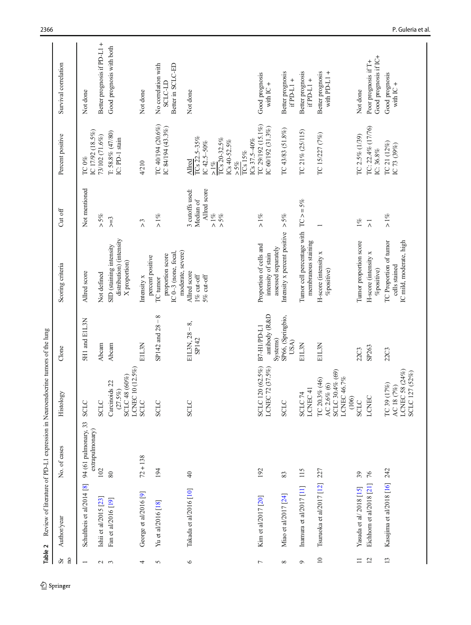<span id="page-3-0"></span>

| Table 2                              |                           | Review of literature of PD-L1 expression in Neuroendocrine tumors of the lung |                                                                           |                                          |                                                                           |                                                                   |                                                                                                                              |                                                            |
|--------------------------------------|---------------------------|-------------------------------------------------------------------------------|---------------------------------------------------------------------------|------------------------------------------|---------------------------------------------------------------------------|-------------------------------------------------------------------|------------------------------------------------------------------------------------------------------------------------------|------------------------------------------------------------|
| $\overline{n}$<br>$\rm \overline{S}$ | Author/year               | No. of cases                                                                  | Histology                                                                 | Clone                                    | Scoring criteria                                                          | Cut off                                                           | Percent positive                                                                                                             | Survival correlation                                       |
|                                      | Schultheis et al/2014 [8] | 94 (61 pulmonary, 33<br>extrapulmonary)                                       | <b>SCLC</b>                                                               | <b>SH1</b> and EIL3N                     | Allred score                                                              | Not mentioned                                                     | IC 17/92 (18.5%)<br>TC 0%                                                                                                    | Not done                                                   |
| $\sim$                               | Ishii et al/2015 [23]     | 102                                                                           | <b>SCLC</b>                                                               | Abcam                                    | Not defined                                                               | $>5\%$                                                            | 73/102 (71.6%)                                                                                                               | Better prognosis if PD-L1 +                                |
| $\mathfrak{c}$                       | Fan et al/2016 [19]       | $80\,$                                                                        | $10(12.5\%)$<br>SCLC 48 (60%)<br>Carcinoids 22<br>(27.5%)<br><b>LCNEC</b> | Abcam                                    | distribution) (intensity<br>SID (staining intensity<br>X proportion)      | $> = 3$                                                           | $T: 58.8\% (47/80)$<br>IC: PD-1 stain                                                                                        | Good prognosis with both                                   |
| 4                                    | George et al/2016 [9]     | $72 + 138$                                                                    | <b>SCLC</b>                                                               | E1L3N                                    | percent positive<br>Intensity x                                           | $\tilde{c}$                                                       | 4/210                                                                                                                        | Not done                                                   |
| 5                                    | Yu et al/2016 [18]        | 194                                                                           | <b>SCLC</b>                                                               | ${}^{\circ}$<br>SP142 and $28 -$         | moderate, severe)<br>IC 0-3 (none, focal,<br>proportion score<br>TC tumor | $> 1\%$                                                           | TC 40/194 (20.6%)<br>IC 84/194 (43.3%)                                                                                       | No correlation with<br>Better in SCLC-ED<br><b>SCLC-LD</b> |
| $\bullet$                            | Takada et al/2016 [10]    | $\overline{40}$                                                               | <b>SCLC</b>                                                               | $EIL3N, 28-8,$<br>SP142                  | Allred score<br>$1\%$ cut-off<br>5% cut-off                               | Allred score<br>3 cutoffs used:<br>Median of<br>$> 1\%$<br>$>5\%$ | TCs 22.5-35%<br>TCs 20-32.5%<br>ICs 37.5-40%<br>ICs 40-52.5%<br>IC $42.5 - 50\%$<br>$TCs$ 15%<br>Allred<br>$>5\%$<br>$> 1\%$ | Not done                                                   |
| $\overline{ }$                       | Kim et al/2017 [20]       | 192                                                                           | SCLC 120 (62.5%)<br>LCNEC 72 (37.5%)                                      | antibody (R&D<br>B7-H1/PD-L1<br>Systems) | Proportion of cells and<br>assessed separately<br>intensity of stain      | $> 1\%$                                                           | TC 29/192 (15.1%)<br>IC 60/192 (31.3%)                                                                                       | Good prognosis<br>with $IC +$                              |
| $^{\circ}$                           | Miao et al/2017 [24]      | 83                                                                            | SCLC                                                                      | SP66, (Springbio,<br>USA)                | Intensity x percent positive                                              | $>5\%$                                                            | TC 43/83 (51.8%)                                                                                                             | Better prognosis<br>$if$ PD-L1+                            |
| $\sigma$                             | Inamura et al/2017 [11]   | 115                                                                           | LCNEC <sub>41</sub><br>SCLC <sub>74</sub>                                 | E1L3N                                    | Tumor cell percentage with $TC > = 5\%$<br>membranous staining            |                                                                   | TC 21% (25/115)                                                                                                              | Better prognosis<br>$if$ PD-L1+                            |
| $\Box$                               | Tsuruoka et al/2017 [12]  | 227                                                                           | SCLC 30.4% (69)<br>LCNEC 46.7%<br>TC 20.3% (46)<br>AC 2.6% $(6)$<br>(106) | E1L3N                                    | H-score (intensity x<br><b>%positive</b> )                                |                                                                   | TC 15/227 (7%)                                                                                                               | Better prognosis<br>with PD-L1 $+$                         |
| $\Box$                               | Yasuda et al/ 2018 [15]   | 39                                                                            | <b>SCLC</b>                                                               | <b>22C3</b>                              | Tumor proportion score                                                    | $1\%$                                                             | TC 2.5% (1/39)                                                                                                               | Not done                                                   |
| $\overline{c}$                       | Eichhorn et al/2018 [21]  | 76                                                                            | LCNEC                                                                     | SP263                                    | H-score (intensity x<br>%positive)                                        | $\overline{\wedge}$                                               | TC: 22.4% (17/76)<br>IC: 36.8%                                                                                               | Good prognosis if IC+<br>Poor prognosis if T+              |
| 13                                   | Kasajima et al/2018 [16]  | 242                                                                           | LCNEC 58 (24%)<br>SCLC 127 (52%)<br>TC 39 (17%)<br>AC 18 (7%)             | <b>22C3</b>                              | TC Proportion of tumor<br>IC mild, moderate, high<br>cells stained        | $>1\%$                                                            | TC 21 (12%)<br>IC 73 (39%)                                                                                                   | Good prognosis<br>with $IC +$                              |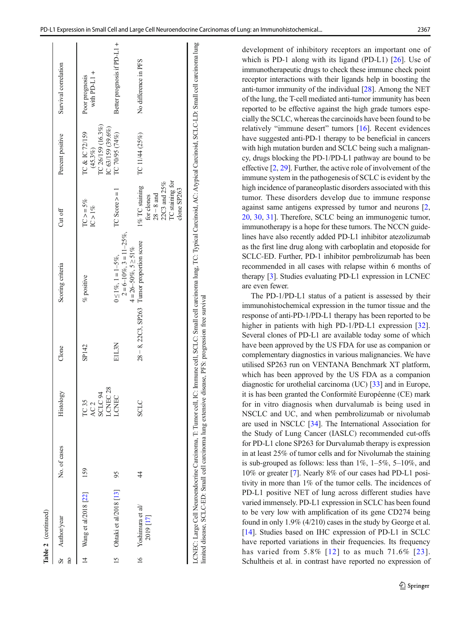|                         | Table 2 (continued)                                        |              |                                                            |       |                                                                                                                                     |                                                                                                |                                                                     |                                |
|-------------------------|------------------------------------------------------------|--------------|------------------------------------------------------------|-------|-------------------------------------------------------------------------------------------------------------------------------------|------------------------------------------------------------------------------------------------|---------------------------------------------------------------------|--------------------------------|
| $\overline{\mathbf{a}}$ | Sr Author/year                                             | No. of cases | Histology                                                  | Clone | Scoring criteria                                                                                                                    | Cut off                                                                                        | Percent positive                                                    | Survival correlation           |
| $\frac{4}{3}$           | Wang et al/2018 [22]                                       | 159          | LCNEC <sub>28</sub><br>AC <sub>2</sub><br>SCLC 94<br>TC 35 | SP142 | % positive                                                                                                                          | $TC > = 5\%$<br>$IC > 1\%$                                                                     | IC 26/159 (16.3%)<br>IC 63/159 (39.6%)<br>TC & IC 72/159<br>(45.3%) | with PD-L1 +<br>Poor prognosis |
|                         | Ohtaki et al/2018 [13]                                     | 95           | <b>LCNEC</b>                                               | E1L3N | $2 = 6 - 10\%$ , $3 = 11 - 25\%$ ,<br>$4 = 26 - 50\%$ , $5 \ge 51\%$<br>$0 \le 1\%$ , $1 = 1-5\%$ ,                                 | $TC$ Score $>=$                                                                                | TC 70/95 (74%)                                                      | Better prognosis if PD-L1 +    |
|                         | $16$ Yoshimura et al/<br>2019 [17]                         | 4            | <b>SCLC</b>                                                |       | $28 - 8$ , $22C3$ , SP263 Tumor proportion score                                                                                    | TC staining for<br>22C3 and 25%<br>1% TC staining<br>clone SP263<br>$28 - 8$ and<br>for clones | TC 11/44 (25%)                                                      | No difference in PFS           |
|                         | LCNEC: Large Cell Neuroendocrine Carcinoma, T: Tumor cell, |              |                                                            |       | IC: Immune cell, SCLC: Small cell carcinoma lung, TC: Typical Carcinoid, AC: Atypical Carcinoid, SCLC-LD: Small cell carcinoma lung |                                                                                                |                                                                     |                                |

development of inhibitory receptors an important one of which is PD-1 along with its ligand (PD-L1) [[26\]](#page-7-0). Use of immunotherapeutic drugs to check these immune check point receptor interactions with their ligands help in boosting the anti-tumor immunity of the individual [\[28](#page-7-0)]. Among the NET of the lung, the T-cell mediated anti-tumor immunity has been reported to be effective against the high grade tumors especially the SCLC, whereas the carcinoids have been found to be relatively "immune desert" tumors [\[16](#page-6-0)]. Recent evidences have suggested anti-PD-1 therapy to be beneficial in cancers with high mutation burden and SCLC being such a malignancy, drugs blocking the PD-1/PD-L1 pathway are bound to be effective [[2,](#page-6-0) [29](#page-7-0)]. Further, the active role of involvement of the immune system in the pathogenesis of SCLC is evident by the high incidence of paraneoplastic disorders associated with this tumor. These disorders develop due to immune response against same antigens expressed by tumor and neurons [[2,](#page-6-0) [20,](#page-6-0) [30](#page-7-0), [31](#page-7-0)]. Therefore, SCLC being an immunogenic tumor, immunotherapy is a hope for these tumors. The NCCN guidelines have also recently added PD-L1 inhibitor atezolizumab as the first line drug along with carboplatin and etoposide for SCLC-ED. Further, PD-1 inhibitor pembrolizumab has been recommended in all cases with relapse within 6 months of therapy [\[3\]](#page-6-0). Studies evaluating PD-L1 expression in LCNEC are even fewer.

The PD-1/PD-L1 status of a patient is assessed by their immunohistochemical expression in the tumor tissue and the response of anti-PD-1/PD-L1 therapy has been reported to be higher in patients with high PD-1/PD-L1 expression [\[32\]](#page-7-0). Several clones of PD-L1 are available today some of which have been approved by the US FDA for use as companion or complementary diagnostics in various malignancies. We have utilised SP263 run on VENTANA Benchmark XT platform, which has been approved by the US FDA as a companion diagnostic for urothelial carcinoma (UC) [[33\]](#page-7-0) and in Europe, it is has been granted the Conformité Européenne (CE) mark for in vitro diagnosis when durvalumab is being used in NSCLC and UC, and when pembrolizumab or nivolumab are used in NSCLC [[34\]](#page-7-0). The International Association for the Study of Lung Cancer (IASLC) recommended cut-offs for PD-L1 clone SP263 for Durvalumab therapy is expression in at least 25% of tumor cells and for Nivolumab the staining is sub-grouped as follows: less than  $1\%$ ,  $1-5\%$ ,  $5-10\%$ , and 10% or greater [\[7](#page-6-0)]. Nearly 8% of our cases had PD-L1 positivity in more than 1% of the tumor cells. The incidences of PD-L1 positive NET of lung across different studies have varied immensely. PD-L1 expression in SCLC has been found to be very low with amplification of its gene CD274 being found in only 1.9% (4/210) cases in the study by George et al. [\[14](#page-6-0)]. Studies based on IHC expression of PD-L1 in SCLC have reported variations in their frequencies. Its frequency has varied from 5.8% [[12](#page-6-0)] to as much 71.6% [[23\]](#page-6-0). Schultheis et al. in contrast have reported no expression of

limited disease, SCLC-ED: Small cell carcinoma lung extensive disease, PFS: progression free survival

imited disease, SCLC-ED: Small cell carcinoma lung extensive disease, PFS: progression free survival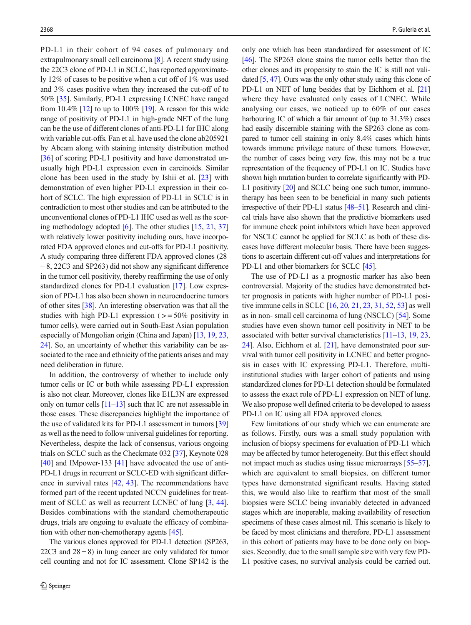PD-L1 in their cohort of 94 cases of pulmonary and extrapulmonary small cell carcinoma [\[8\]](#page-6-0). A recent study using the 22C3 clone of PD-L1 in SCLC, has reported approximately 12% of cases to be positive when a cut off of 1% was used and 3% cases positive when they increased the cut-off of to 50% [[35\]](#page-7-0). Similarly, PD-L1 expressing LCNEC have ranged from 10.4%  $[12]$  to up to 100%  $[19]$  $[19]$  $[19]$ . A reason for this wide range of positivity of PD-L1 in high-grade NET of the lung can be the use of different clones of anti-PD-L1 for IHC along with variable cut-offs. Fan et al. have used the clone ab205921 by Abcam along with staining intensity distribution method [\[36\]](#page-7-0) of scoring PD-L1 positivity and have demonstrated unusually high PD-L1 expression even in carcinoids. Similar clone has been used in the study by Ishii et al. [\[23](#page-6-0)] with demonstration of even higher PD-L1 expression in their cohort of SCLC. The high expression of PD-L1 in SCLC is in contradiction to most other studies and can be attributed to the unconventional clones of PD-L1 IHC used as well as the scoring methodology adopted [[6\]](#page-6-0). The other studies [[15](#page-6-0), [21,](#page-6-0) [37\]](#page-7-0) with relatively lower positivity including ours, have incorporated FDA approved clones and cut-offs for PD-L1 positivity. A study comparing three different FDA approved clones (28 − 8, 22C3 and SP263) did not show any significant difference in the tumor cell positivity, thereby reaffirming the use of only standardized clones for PD-L1 evaluation [\[17\]](#page-6-0). Low expression of PD-L1 has also been shown in neuroendocrine tumors of other sites [[38\]](#page-7-0). An interesting observation was that all the studies with high PD-L1 expression  $(>=50\%$  positivity in tumor cells), were carried out in South-East Asian population especially of Mongolian origin (China and Japan) [\[13,](#page-6-0) [19](#page-6-0), [23,](#page-6-0) [24\]](#page-7-0). So, an uncertainty of whether this variability can be associated to the race and ethnicity of the patients arises and may need deliberation in future.

In addition, the controversy of whether to include only tumor cells or IC or both while assessing PD-L1 expression is also not clear. Moreover, clones like E1L3N are expressed only on tumor cells  $[11-13]$  $[11-13]$  $[11-13]$  $[11-13]$  such that IC are not assessable in those cases. These discrepancies highlight the importance of the use of validated kits for PD-L1 assessment in tumors [\[39\]](#page-7-0) as well as the need to follow universal guidelines for reporting. Nevertheless, despite the lack of consensus, various ongoing trials on SCLC such as the Checkmate 032 [[37](#page-7-0)], Keynote 028 [\[40\]](#page-7-0) and IMpower-133 [\[41\]](#page-7-0) have advocated the use of anti-PD-L1 drugs in recurrent or SCLC-ED with significant difference in survival rates [[42,](#page-7-0) [43\]](#page-7-0). The recommendations have formed part of the recent updated NCCN guidelines for treatment of SCLC as well as recurrent LCNEC of lung [\[3](#page-6-0), [44\]](#page-7-0). Besides combinations with the standard chemotherapeutic drugs, trials are ongoing to evaluate the efficacy of combination with other non-chemotherapy agents [[45\]](#page-7-0).

The various clones approved for PD-L1 detection (SP263, 22C3 and  $28 - 8$ ) in lung cancer are only validated for tumor cell counting and not for IC assessment. Clone SP142 is the only one which has been standardized for assessment of IC [\[46\]](#page-7-0). The SP263 clone stains the tumor cells better than the other clones and its propensity to stain the IC is still not validated [\[5,](#page-6-0) [47](#page-7-0)]. Ours was the only other study using this clone of PD-L1 on NET of lung besides that by Eichhorn et al. [\[21](#page-6-0)] where they have evaluated only cases of LCNEC. While analysing our cases, we noticed up to 60% of our cases harbouring IC of which a fair amount of (up to 31.3%) cases had easily discernible staining with the SP263 clone as compared to tumor cell staining in only 8.4% cases which hints towards immune privilege nature of these tumors. However, the number of cases being very few, this may not be a true representation of the frequency of PD-L1 on IC. Studies have shown high mutation burden to correlate significantly with PD-L1 positivity [\[20\]](#page-6-0) and SCLC being one such tumor, immunotherapy has been seen to be beneficial in many such patients irrespective of their PD-L1 status [[48](#page-7-0)–[51\]](#page-7-0). Research and clinical trials have also shown that the predictive biomarkers used for immune check point inhibitors which have been approved for NSCLC cannot be applied for SCLC as both of these diseases have different molecular basis. There have been suggestions to ascertain different cut-off values and interpretations for PD-L1 and other biomarkers for SCLC [[45](#page-7-0)].

The use of PD-L1 as a prognostic marker has also been controversial. Majority of the studies have demonstrated better prognosis in patients with higher number of PD-L1 positive immune cells in SCLC [\[16,](#page-6-0) [20](#page-6-0), [21,](#page-6-0) [23,](#page-6-0) [31](#page-7-0), [52,](#page-7-0) [53](#page-7-0)] as well as in non- small cell carcinoma of lung (NSCLC) [\[54\]](#page-7-0). Some studies have even shown tumor cell positivity in NET to be associated with better survival characteristics [[11](#page-6-0)–[13,](#page-6-0) [19,](#page-6-0) [23,](#page-6-0) [24\]](#page-7-0). Also, Eichhorn et al. [\[21\]](#page-6-0), have demonstrated poor survival with tumor cell positivity in LCNEC and better prognosis in cases with IC expressing PD-L1. Therefore, multiinstitutional studies with larger cohort of patients and using standardized clones for PD-L1 detection should be formulated to assess the exact role of PD-L1 expression on NET of lung. We also propose well defined criteria to be developed to assess PD-L1 on IC using all FDA approved clones.

Few limitations of our study which we can enumerate are as follows. Firstly, ours was a small study population with inclusion of biopsy specimens for evaluation of PD-L1 which may be affected by tumor heterogeneity. But this effect should not impact much as studies using tissue microarrays [\[55](#page-7-0)–[57\]](#page-7-0), which are equivalent to small biopsies, on different tumor types have demonstrated significant results. Having stated this, we would also like to reaffirm that most of the small biopsies were SCLC being invariably detected in advanced stages which are inoperable, making availability of resection specimens of these cases almost nil. This scenario is likely to be faced by most clinicians and therefore, PD-L1 assessment in this cohort of patients may have to be done only on biopsies. Secondly, due to the small sample size with very few PD-L1 positive cases, no survival analysis could be carried out.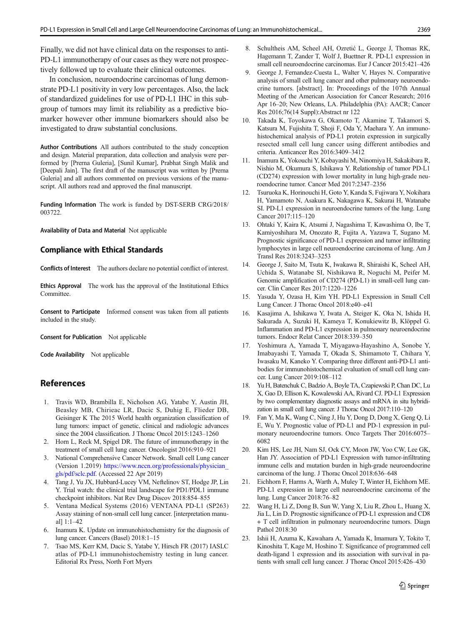<span id="page-6-0"></span>Finally, we did not have clinical data on the responses to anti-PD-L1 immunotherapy of our cases as they were not prospectively followed up to evaluate their clinical outcomes.

In conclusion, neuroendocrine carcinomas of lung demonstrate PD-L1 positivity in very low percentages. Also, the lack of standardized guidelines for use of PD-L1 IHC in this subgroup of tumors may limit its reliability as a predictive biomarker however other immune biomarkers should also be investigated to draw substantial conclusions.

Author Contributions All authors contributed to the study conception and design. Material preparation, data collection and analysis were performed by [Prerna Guleria], [Sunil Kumar], Prabhat Singh Malik and [Deepali Jain]. The first draft of the manuscript was written by [Prerna Guleria] and all authors commented on previous versions of the manuscript. All authors read and approved the final manuscript.

Funding Information The work is funded by DST-SERB CRG/2018/ 003722.

Availability of Data and Material Not applicable

### Compliance with Ethical Standards

Conflicts of Interest The authors declare no potential conflict of interest.

Ethics Approval The work has the approval of the Institutional Ethics Committee.

Consent to Participate Informed consent was taken from all patients included in the study.

Consent for Publication Not applicable

Code Availability Not applicable

## **References**

- 1. Travis WD, Brambilla E, Nicholson AG, Yatabe Y, Austin JH, Beasley MB, Chirieac LR, Dacic S, Duhig E, Flieder DB, Geisinger K The 2015 World health organization classification of lung tumors: impact of genetic, clinical and radiologic advances since the 2004 classification. J Thorac Oncol 2015:1243–1260
- 2. Horn L, Reck M, Spigel DR. The future of immunotherapy in the treatment of small cell lung cancer. Oncologist 2016:910–921
- 3. National Comprehensive Cancer Network. Small cell Lung cancer (Version 1.2019) [https://www.nccn.org/professionals/physician\\_](https://www.nccn.org/professionals/physician_gls/pdf/sclc.pdf) [gls/pdf/sclc.pdf.](https://www.nccn.org/professionals/physician_gls/pdf/sclc.pdf) (Accessed 22 Apr 2019)
- 4. Tang J, Yu JX, Hubbard-Lucey VM, Neftelinov ST, Hodge JP, Lin Y. Trial watch: the clinical trial landscape for PD1/PDL1 immune checkpoint inhibitors. Nat Rev Drug Discov 2018:854–855
- 5. Ventana Medical Systems (2016) VENTANA PD-L1 (SP263) Assay staining of non-small cell lung cancer. [interpretation manual] 1:1–42
- 6. Inamura K. Update on immunohistochemistry for the diagnosis of lung cancer. Cancers (Basel) 2018:1–15
- 7. Tsao MS, Kerr KM, Dacic S, Yatabe Y, Hirsch FR (2017) IASLC atlas of PD-L1 immunohistochemistry testing in lung cancer. Editorial Rx Press, North Fort Myers
- 8. Schultheis AM, Scheel AH, Ozretić L, George J, Thomas RK, Hagemann T, Zander T, Wolf J, Buettner R. PD-L1 expression in small cell neuroendocrine carcinomas. Eur J Cancer 2015:421–426
- 9. George J, Fernandez-Cuesta L, Walter V, Hayes N. Comparative analysis of small cell lung cancer and other pulmonary neuroendocrine tumors. [abstract]. In: Proceedings of the 107th Annual Meeting of the American Association for Cancer Research; 2016 Apr 16–20; New Orleans, LA. Philadelphia (PA): AACR; Cancer Res 2016;76(14 Suppl):Abstract nr 122
- 10. Takada K, Toyokawa G, Okamoto T, Akamine T, Takamori S, Katsura M, Fujishita T, Shoji F, Oda Y, Maehara Y. An immunohistochemical analysis of PD-L1 protein expression in surgically resected small cell lung cancer using different antibodies and criteria. Anticancer Res 2016:3409–3412
- 11. Inamura K, Yokouchi Y, Kobayashi M, Ninomiya H, Sakakibara R, Nishio M, Okumura S, Ishikawa Y. Relationship of tumor PD-L1 (CD274) expression with lower mortality in lung high-grade neuroendocrine tumor. Cancer Med 2017:2347–2356
- 12. Tsuruoka K, Horinouchi H, Goto Y, Kanda S, Fujiwara Y, Nokihara H, Yamamoto N, Asakura K, Nakagawa K, Sakurai H, Watanabe SI. PD-L1 expression in neuroendocrine tumors of the lung. Lung Cancer 2017:115–120
- 13. Ohtaki Y, Kaira K, Atsumi J, Nagashima T, Kawashima O, Ibe T, Kamiyoshihara M, Onozato R, Fujita A, Yazawa T, Sugano M. Prognostic significance of PD-L1 expression and tumor infiltrating lymphocytes in large cell neuroendocrine carcinoma of lung. Am J Transl Res 2018:3243–3253
- 14. George J, Saito M, Tsuta K, Iwakawa R, Shiraishi K, Scheel AH, Uchida S, Watanabe SI, Nishikawa R, Noguchi M, Peifer M. Genomic amplification of CD274 (PD-L1) in small-cell lung cancer. Clin Cancer Res 2017:1220–1226
- 15. Yasuda Y, Ozasa H, Kim YH. PD-L1 Expression in Small Cell Lung Cancer. J Thorac Oncol 2018:e40–e41
- 16. Kasajima A, Ishikawa Y, Iwata A, Steiger K, Oka N, Ishida H, Sakurada A, Suzuki H, Kameya T, Konukiewitz B, Klöppel G. Inflammation and PD-L1 expression in pulmonary neuroendocrine tumors. Endocr Relat Cancer 2018:339–350
- 17. Yoshimura A, Yamada T, Miyagawa-Hayashino A, Sonobe Y, Imabayashi T, Yamada T, Okada S, Shimamoto T, Chihara Y, Iwasaku M, Kaneko Y. Comparing three different anti-PD-L1 antibodies for immunohistochemical evaluation of small cell lung cancer. Lung Cancer 2019:108–112
- 18. Yu H, Batenchuk C, Badzio A, Boyle TA, Czapiewski P, Chan DC, Lu X, Gao D, Ellison K, Kowalewski AA, Rivard CJ. PD-L1 Expression by two complementary diagnostic assays and mRNA in situ hybridization in small cell lung cancer. J Thorac Oncol 2017:110–120
- 19. Fan Y, Ma K, Wang C, Ning J, Hu Y, Dong D, Dong X, Geng Q, Li E, Wu Y. Prognostic value of PD-L1 and PD-1 expression in pulmonary neuroendocrine tumors. Onco Targets Ther 2016:6075– 6082
- 20. Kim HS, Lee JH, Nam SJ, Ock CY, Moon JW, Yoo CW, Lee GK, Han JY. Association of PD-L1 Expression with tumor-infiltrating immune cells and mutation burden in high-grade neuroendocrine carcinoma of the lung. J Thorac Oncol 2018:636–648
- 21. Eichhorn F, Harms A, Warth A, Muley T, Winter H, Eichhorn ME. PD-L1 expression in large cell neuroendocrine carcinoma of the lung. Lung Cancer 2018:76–82
- 22. Wang H, Li Z, Dong B, Sun W, Yang X, Liu R, Zhou L, Huang X, Jia L, Lin D. Prognostic significance of PD-L1 expression and CD8 + T cell infiltration in pulmonary neuroendocrine tumors. Diagn Pathol 2018:30
- 23. Ishii H, Azuma K, Kawahara A, Yamada K, Imamura Y, Tokito T, Kinoshita T, Kage M, Hoshino T. Significance of programmed cell death-ligand 1 expression and its association with survival in patients with small cell lung cancer. J Thorac Oncol 2015:426–430